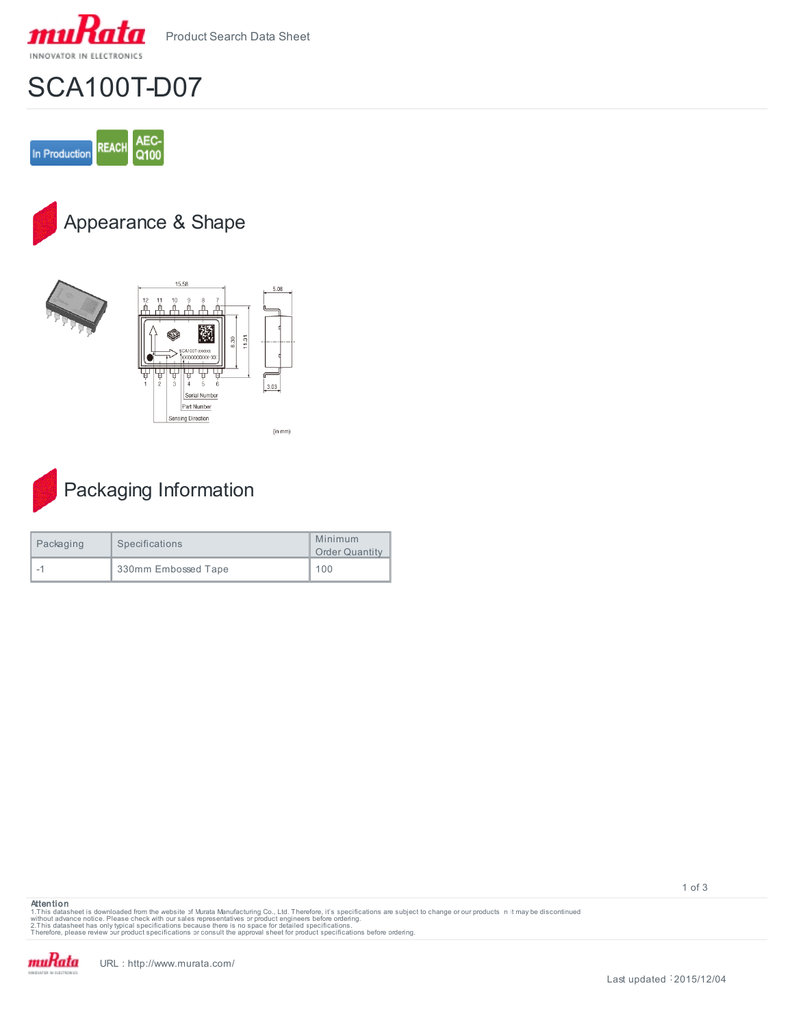

Product Search Data Sheet

## SCA100T-D07



## Appearance & Shape







| Packaging | Specifications      | Minimum<br><b>Order Quantity</b> |
|-----------|---------------------|----------------------------------|
|           | 330mm Embossed Tape | 100                              |

**Attention**

1.This datasheet is downloaded from the website of Murata Manufacturing Co., Ltd. Therefore, it's specifications are subject to change or our products in it may be discontinued<br>without advaneet has only typical specificati

muRata

1 of 3